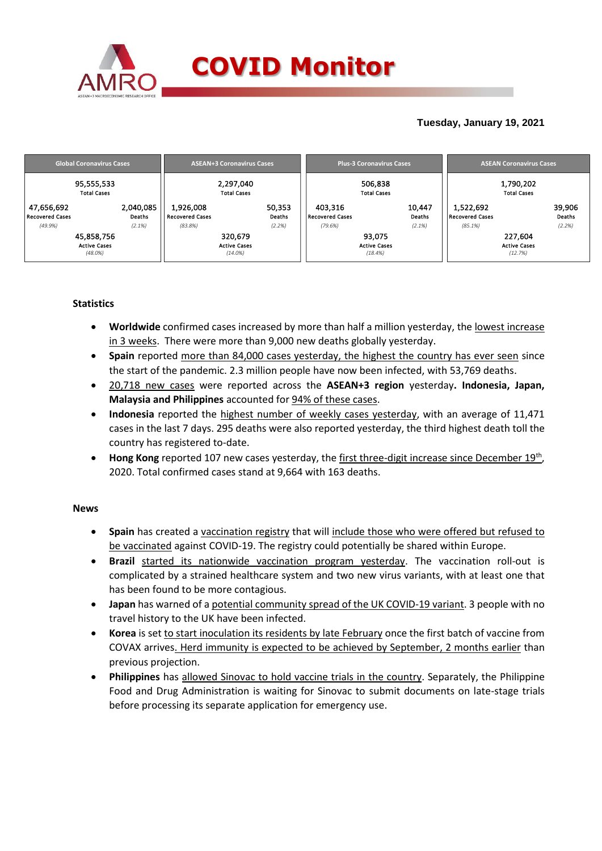

## **Tuesday, January 19, 2021**

| <b>Global Coronavirus Cases</b> | <b>ASEAN+3 Coronavirus Cases</b> | <b>Plus-3 Coronavirus Cases</b> | <b>ASEAN Coronavirus Cases</b> |  |  |
|---------------------------------|----------------------------------|---------------------------------|--------------------------------|--|--|
| 95,555,533                      | 2,297,040                        | 506,838                         | 1,790,202                      |  |  |
| <b>Total Cases</b>              | <b>Total Cases</b>               | <b>Total Cases</b>              | <b>Total Cases</b>             |  |  |
| 2,040,085                       | 1,926,008                        | 403.316                         | 39,906                         |  |  |
| 47,656,692                      | 50,353                           | 10,447                          | 1,522,692                      |  |  |
| <b>Recovered Cases</b>          | Deaths                           | Deaths                          | Deaths                         |  |  |
| Deaths                          | Recovered Cases                  | Recovered Cases                 | Recovered Cases                |  |  |
| (2.1%)                          | (83.8%)                          | (2.1%)                          | (2.2%)                         |  |  |
| (49.9%)                         | (2.2%)                           | (79.6%)                         | $(85.1\%)$                     |  |  |
| 45,858,756                      | 320,679                          | 93,075                          | 227,604                        |  |  |
| <b>Active Cases</b>             | <b>Active Cases</b>              | <b>Active Cases</b>             | <b>Active Cases</b>            |  |  |
| $(48.0\%)$                      | $(14.0\%)$                       | (18.4%)                         | (12.7%)                        |  |  |

### **Statistics**

- **Worldwide** confirmed cases increased by more than half a million yesterday, the lowest increase in 3 weeks. There were more than 9,000 new deaths globally yesterday.
- **Spain** reported more than 84,000 cases yesterday, the highest the country has ever seen since the start of the pandemic. 2.3 million people have now been infected, with 53,769 deaths.
- 20,718 new cases were reported across the **ASEAN+3 region** yesterday**. Indonesia, Japan, Malaysia and Philippines** accounted for 94% of these cases.
- **Indonesia** reported the highest number of weekly cases yesterday, with an average of 11,471 cases in the last 7 days. 295 deaths were also reported yesterday, the third highest death toll the country has registered to-date.
- Hong Kong reported 107 new cases yesterday, the first three-digit increase since December 19<sup>th</sup>, 2020. Total confirmed cases stand at 9,664 with 163 deaths.

### **News**

- **Spain** has created a vaccination registry that will include those who were offered but refused to be vaccinated against COVID-19. The registry could potentially be shared within Europe.
- **Brazil** started its nationwide vaccination program yesterday. The vaccination roll-out is complicated by a strained healthcare system and two new virus variants, with at least one that has been found to be more contagious.
- **Japan** has warned of a potential community spread of the UK COVID-19 variant. 3 people with no travel history to the UK have been infected.
- **Korea** is set to start inoculation its residents by late February once the first batch of vaccine from COVAX arrives. Herd immunity is expected to be achieved by September, 2 months earlier than previous projection.
- **Philippines** has allowed Sinovac to hold vaccine trials in the country. Separately, the Philippine Food and Drug Administration is waiting for Sinovac to submit documents on late-stage trials before processing its separate application for emergency use.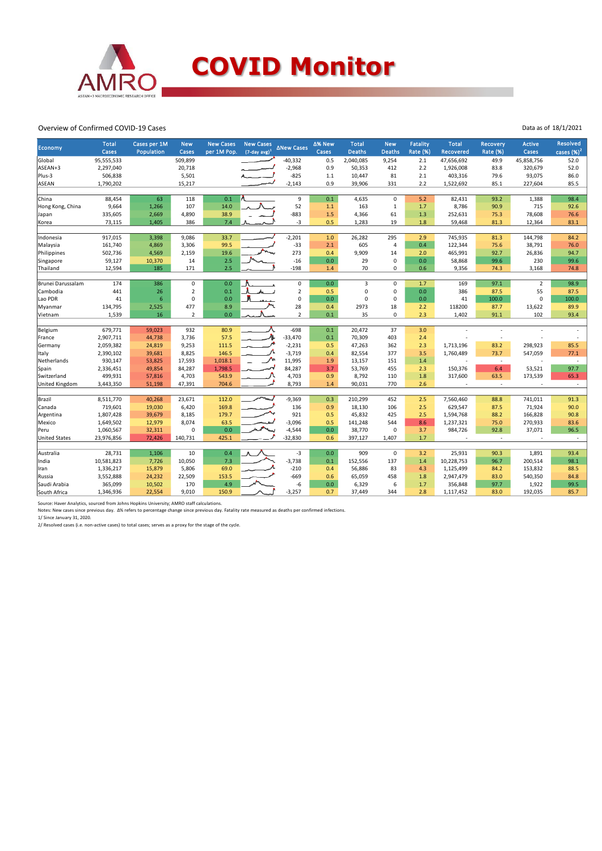

#### Overview of Confirmed COVID-19 Cases

| <b>Economy</b>                | <b>Total</b><br>Cases  | Cases per 1M<br>Population | <b>New</b><br>Cases | <b>New Cases</b><br>per 1M Pop. | <b>New Cases</b><br>$(7$ -day avg) <sup>1</sup> | <b>ANew Cases</b>     | ∆% New<br>Cases | <b>Total</b><br><b>Deaths</b> | <b>New</b><br><b>Deaths</b> | <b>Fatality</b><br><b>Rate (%)</b> | <b>Total</b><br>Recovered | <b>Recovery</b><br><b>Rate (%)</b> | <b>Active</b><br>Cases | <b>Resolved</b><br>cases $(%)2$ |
|-------------------------------|------------------------|----------------------------|---------------------|---------------------------------|-------------------------------------------------|-----------------------|-----------------|-------------------------------|-----------------------------|------------------------------------|---------------------------|------------------------------------|------------------------|---------------------------------|
| Global                        | 95,555,533             |                            | 509,899             |                                 |                                                 | $-40,332$             | 0.5             | 2,040,085                     | 9,254                       | 2.1                                | 47,656,692                | 49.9                               | 45,858,756             | 52.0                            |
| ASEAN+3                       | 2,297,040              |                            | 20,718              |                                 |                                                 | $-2,968$              | 0.9             | 50,353                        | 412                         | 2.2                                | 1,926,008                 | 83.8                               | 320,679                | 52.0                            |
| Plus-3                        | 506,838                |                            | 5,501               |                                 |                                                 | $-825$                | 1.1             | 10,447                        | 81                          | 2.1                                | 403,316                   | 79.6                               | 93,075                 | 86.0                            |
| <b>ASEAN</b>                  | 1,790,202              |                            | 15,217              |                                 |                                                 | $-2,143$              | 0.9             | 39,906                        | 331                         | 2.2                                | 1,522,692                 | 85.1                               | 227,604                | 85.5                            |
|                               |                        |                            |                     |                                 |                                                 |                       |                 |                               |                             |                                    |                           |                                    |                        |                                 |
| China                         | 88,454                 | 63                         | 118                 | 0.1                             |                                                 | 9                     | 0.1             | 4,635                         | $\mathbf 0$                 | 5.2                                | 82,431                    | 93.2                               | 1,388                  | 98.4                            |
| Hong Kong, China              | 9,664                  | 1,266                      | 107                 | 14.0                            |                                                 | 52                    | 1.1             | 163                           | $\mathbf{1}$                | 1.7                                | 8,786                     | 90.9                               | 715                    | 92.6                            |
| Japan                         | 335,605                | 2,669                      | 4,890               | 38.9                            |                                                 | $-883$                | 1.5             | 4,366                         | 61                          | 1.3                                | 252,631                   | 75.3                               | 78,608                 | 76.6                            |
| Korea                         | 73,115                 | 1,405                      | 386                 | 7.4                             |                                                 | -3                    | 0.5             | 1,283                         | 19                          | 1.8                                | 59,468                    | 81.3                               | 12,364                 | 83.1                            |
|                               |                        |                            |                     |                                 |                                                 |                       |                 |                               |                             |                                    |                           |                                    |                        |                                 |
| Indonesia                     | 917,015                | 3,398                      | 9,086               | 33.7                            |                                                 | $-2,201$              | 1.0             | 26,282                        | 295<br>$\overline{a}$       | 2.9                                | 745,935                   | 81.3                               | 144,798                | 84.2                            |
| Malaysia                      | 161,740                | 4,869                      | 3,306               | 99.5                            |                                                 | $-33$                 | 2.1             | 605                           |                             | 0.4                                | 122,344                   | 75.6                               | 38,791                 | 76.0                            |
| Philippines                   | 502,736                | 4,569                      | 2,159               | 19.6                            |                                                 | 273                   | 0.4             | 9,909                         | 14<br>$\mathbf 0$           | 2.0                                | 465,991                   | 92.7                               | 26,836                 | 94.7                            |
| Singapore                     | 59,127                 | 10,370                     | 14                  | 2.5                             |                                                 | $-16$                 | 0.0             | 29                            |                             | 0.0                                | 58,868                    | 99.6                               | 230                    | 99.6                            |
| Thailand                      | 12,594                 | 185                        | 171                 | 2.5                             |                                                 | $-198$                | 1.4             | 70                            | $\mathbf 0$                 | 0.6                                | 9,356                     | 74.3                               | 3,168                  | 74.8                            |
| Brunei Darussalam             | 174                    | 386                        | 0                   | 0.0                             |                                                 | 0                     | 0.0             | $\overline{3}$                | $\mathbf 0$                 | 1.7                                | 169                       | 97.1                               | $\overline{2}$         | 98.9                            |
| Cambodia                      | 441                    | 26                         | $\overline{2}$      | 0.1                             |                                                 | $\mathbf 2$           | 0.5             | $\mathbf 0$                   | 0                           | 0.0                                | 386                       | 87.5                               | 55                     | 87.5                            |
| Lao PDR                       | 41                     | 6                          | 0                   | 0.0                             |                                                 | $\mathsf 0$           | 0.0             | $\mathbf 0$                   | $\mathbf 0$                 | 0.0                                | 41                        | 100.0                              | 0                      | 100.0                           |
| Myanmar                       | 134,795                | 2,525                      | 477                 | 8.9                             |                                                 | 28                    | 0.4             | 2973                          | 18                          | 2.2                                | 118200                    | 87.7                               | 13,622                 | 89.9                            |
| Vietnam                       | 1,539                  | 16                         | $\overline{2}$      | 0.0                             |                                                 | $\overline{2}$        | 0.1             | 35                            | $\mathbf 0$                 | 2.3                                | 1,402                     | 91.1                               | 102                    | 93.4                            |
|                               | 679,771                |                            |                     |                                 |                                                 | $-698$                | 0.1             |                               | 37                          |                                    |                           |                                    |                        |                                 |
| Belgium                       |                        | 59,023                     | 932                 | 80.9                            |                                                 |                       |                 | 20,472                        |                             | 3.0                                |                           |                                    |                        |                                 |
| France                        | 2,907,711<br>2,059,382 | 44,738                     | 3,736               | 57.5<br>111.5                   |                                                 | $-33,470$<br>$-2,231$ | 0.1             | 70,309                        | 403                         | 2.4                                |                           | ٠                                  |                        |                                 |
| Germany                       | 2,390,102              | 24,819                     | 9,253<br>8,825      | 146.5                           |                                                 | $-3,719$              | 0.5<br>0.4      | 47,263<br>82,554              | 362<br>377                  | 2.3<br>3.5                         | 1,713,196<br>1,760,489    | 83.2<br>73.7                       | 298,923<br>547,059     | 85.5<br>77.1                    |
| Italy<br>Netherlands          | 930,147                | 39,681                     | 17,593              | 1,018.1                         |                                                 | 11,995                | 1.9             |                               | 151                         | 1.4                                |                           | $\sim$                             |                        | $\sim$                          |
|                               | 2,336,451              | 53,825<br>49,854           | 84,287              | 1,798.5                         |                                                 | 84,287                | 3.7             | 13,157<br>53,769              | 455                         | 2.3                                | 150,376                   | 6.4                                | 53,521                 | 97.7                            |
| Spain                         |                        |                            |                     |                                 |                                                 | 4,703                 |                 |                               |                             |                                    |                           |                                    |                        | 65.3                            |
| Switzerland<br>United Kingdom | 499,931<br>3,443,350   | 57,816<br>51,198           | 4,703<br>47,391     | 543.9<br>704.6                  |                                                 | 8,793                 | 0.9<br>1.4      | 8,792<br>90,031               | 110<br>770                  | 1.8<br>2.6                         | 317,600                   | 63.5<br>٠                          | 173,539                |                                 |
|                               |                        |                            |                     |                                 |                                                 |                       |                 |                               |                             |                                    |                           |                                    |                        | $\overline{\phantom{a}}$        |
| Brazil                        | 8,511,770              | 40,268                     | 23,671              | 112.0                           |                                                 | $-9,369$              | 0.3             | 210,299                       | 452                         | 2.5                                | 7,560,460                 | 88.8                               | 741,011                | 91.3                            |
| Canada                        | 719,601                | 19,030                     | 6,420               | 169.8                           |                                                 | 136                   | 0.9             | 18,130                        | 106                         | 2.5                                | 629,547                   | 87.5                               | 71,924                 | 90.0                            |
| Argentina                     | 1,807,428              | 39,679                     | 8,185               | 179.7                           |                                                 | 921                   | 0.5             | 45,832                        | 425                         | 2.5                                | 1,594,768                 | 88.2                               | 166,828                | 90.8                            |
| Mexico                        | 1,649,502              | 12,979                     | 8,074               | 63.5                            |                                                 | $-3,096$              | 0.5             | 141,248                       | 544                         | 8.6                                | 1,237,321                 | 75.0                               | 270,933                | 83.6                            |
| Peru                          | 1,060,567              | 32,311                     | 0                   | 0.0                             |                                                 | $-4,544$              | 0.0             | 38,770                        | $\mathbf 0$                 | 3.7                                | 984,726                   | 92.8                               | 37,071                 | 96.5                            |
| <b>United States</b>          | 23,976,856             | 72,426                     | 140,731             | 425.1                           |                                                 | $-32,830$             | 0.6             | 397,127                       | 1,407                       | 1.7                                |                           | $\epsilon$                         |                        |                                 |
|                               |                        |                            |                     |                                 |                                                 |                       |                 |                               |                             |                                    |                           |                                    |                        |                                 |
| Australia                     | 28,731                 | 1,106                      | 10                  | 0.4                             |                                                 | $-3$                  | 0.0             | 909                           | 0                           | 3.2                                | 25,931                    | 90.3                               | 1,891                  | 93.4                            |
| India                         | 10,581,823             | 7,726                      | 10,050              | 7.3                             |                                                 | $-3,738$              | 0.1             | 152,556                       | 137                         | 1.4                                | 10,228,753                | 96.7                               | 200,514                | 98.1                            |
| Iran                          | 1,336,217              | 15,879                     | 5,806               | 69.0                            |                                                 | $-210$                | 0.4             | 56,886                        | 83                          | 4.3                                | 1,125,499                 | 84.2                               | 153,832                | 88.5                            |
| Russia                        | 3,552,888              | 24,232                     | 22,509              | 153.5                           |                                                 | $-669$                | 0.6             | 65,059                        | 458                         | 1.8                                | 2,947,479                 | 83.0                               | 540,350                | 84.8                            |
| Saudi Arabia                  | 365,099                | 10,502                     | 170                 | 4.9                             |                                                 | -6                    | 0.0             | 6,329                         | 6                           | 1.7                                | 356,848                   | 97.7                               | 1,922                  | 99.5                            |
| South Africa                  | 1,346,936              | 22,554                     | 9,010               | 150.9                           |                                                 | $-3,257$              | 0.7             | 37,449                        | 344                         | 2.8                                | 1,117,452                 | 83.0                               | 192,035                | 85.7                            |

Data as of 18/1/2021

Source: Haver Analytics, sourced from Johns Hopkins University; AMRO staff calculations.

Notes: New cases since previous day. Δ% refers to percentage change since previous day. Fatality rate measured as deaths per confirmed infections.<br>1/ Since January 31, 2020.

2/ Resolved cases (i.e. non-active cases) to total cases; serves as a proxy for the stage of the cycle.